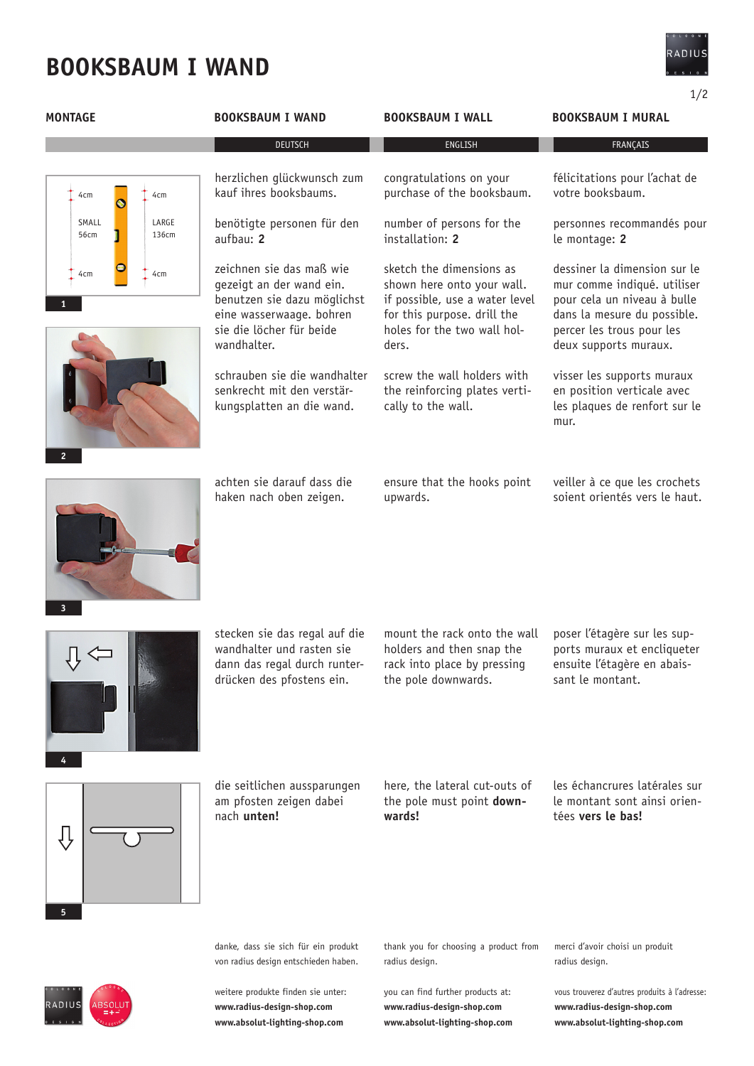# **booksbaum I wand**

1/2

| <b>MONTAGE</b>                  | <b>BOOKSBAUM I WAND</b>                                                                                                                                    | <b>BOOKSBAUM I WALL</b>                                                                                                                                         | <b>BOOKSBAUM I MURAL</b>                                                                                                                                                        |
|---------------------------------|------------------------------------------------------------------------------------------------------------------------------------------------------------|-----------------------------------------------------------------------------------------------------------------------------------------------------------------|---------------------------------------------------------------------------------------------------------------------------------------------------------------------------------|
|                                 | <b>DEUTSCH</b>                                                                                                                                             | <b>ENGLISH</b>                                                                                                                                                  | FRANÇAIS                                                                                                                                                                        |
| 4cm<br>4cm                      | herzlichen glückwunsch zum<br>kauf ihres booksbaums.                                                                                                       | congratulations on your<br>purchase of the booksbaum.                                                                                                           | félicitations pour l'achat de<br>votre booksbaum.                                                                                                                               |
| SMALL<br>LARGE<br>136cm<br>56cm | benötigte personen für den<br>aufbau: 2                                                                                                                    | number of persons for the<br>installation: 2                                                                                                                    | personnes recommandés pour<br>le montage: 2                                                                                                                                     |
| 4cm<br>4cm                      | zeichnen sie das maß wie<br>gezeigt an der wand ein.<br>benutzen sie dazu möglichst<br>eine wasserwaage. bohren<br>sie die löcher für beide<br>wandhalter. | sketch the dimensions as<br>shown here onto your wall.<br>if possible, use a water level<br>for this purpose. drill the<br>holes for the two wall hol-<br>ders. | dessiner la dimension sur le<br>mur comme indiqué. utiliser<br>pour cela un niveau à bulle<br>dans la mesure du possible.<br>percer les trous pour les<br>deux supports muraux. |
| $\overline{2}$                  | schrauben sie die wandhalter<br>senkrecht mit den verstär-<br>kungsplatten an die wand.                                                                    | screw the wall holders with<br>the reinforcing plates verti-<br>cally to the wall.                                                                              | visser les supports muraux<br>en position verticale avec<br>les plaques de renfort sur le<br>mur.                                                                               |
| 3                               | achten sie darauf dass die<br>haken nach oben zeigen.                                                                                                      | ensure that the hooks point<br>upwards.                                                                                                                         | veiller à ce que les crochets<br>soient orientés vers le haut.                                                                                                                  |
|                                 | stecken sie das regal auf die<br>wandhalter und rasten sie<br>dann das regal durch runter-<br>drücken des pfostens ein.                                    | mount the rack onto the wall<br>holders and then snap the<br>rack into place by pressing<br>the pole downwards.                                                 | poser l'étagère sur les sup-<br>ports muraux et encliqueter<br>ensuite l'étagère en abais-<br>sant le montant.                                                                  |
| 5                               | die seitlichen aussparungen<br>am pfosten zeigen dabei<br>nach unten!                                                                                      | here, the lateral cut-outs of<br>the pole must point down-<br>wards!                                                                                            | les échancrures latérales sur<br>le montant sont ainsi orien-<br>tées vers le bas!                                                                                              |
|                                 | danke, dass sie sich für ein produkt<br>von radius design entschieden haben.                                                                               | thank you for choosing a product from<br>radius design.                                                                                                         | merci d'avoir choisi un produit<br>radius design.                                                                                                                               |
|                                 | weitere produkte finden sie unter:                                                                                                                         | you can find further products at:                                                                                                                               | vous trouverez d'autres produits à l'adresse:                                                                                                                                   |



**www.radius-design-shop.com www.absolut-lighting-shop.com** **www.radius-design-shop.com www.absolut-lighting-shop.com** vous trouverez d'autres produits à l'adresse: **www.radius-design-shop.com www.absolut-lighting-shop.com**